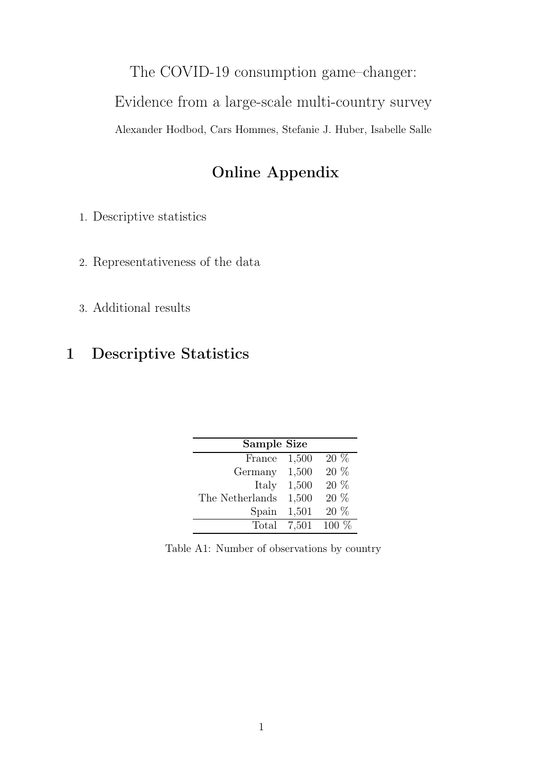The COVID-19 consumption game–changer:

Evidence from a large-scale multi-country survey

Alexander Hodbod, Cars Hommes, Stefanie J. Huber, Isabelle Salle

## Online Appendix

1. Descriptive statistics

- 2. Representativeness of the data
- 3. Additional results

## 1 Descriptive Statistics

| Sample Size     |       |         |
|-----------------|-------|---------|
| France          | 1,500 | $20\%$  |
| Germany         | 1,500 | 20 %    |
| Italy           | 1,500 | 20 %    |
| The Netherlands | 1,500 | 20 %    |
| Spain           | 1,501 | 20 %    |
| Total           | 7,501 | $100\%$ |

Table A1: Number of observations by country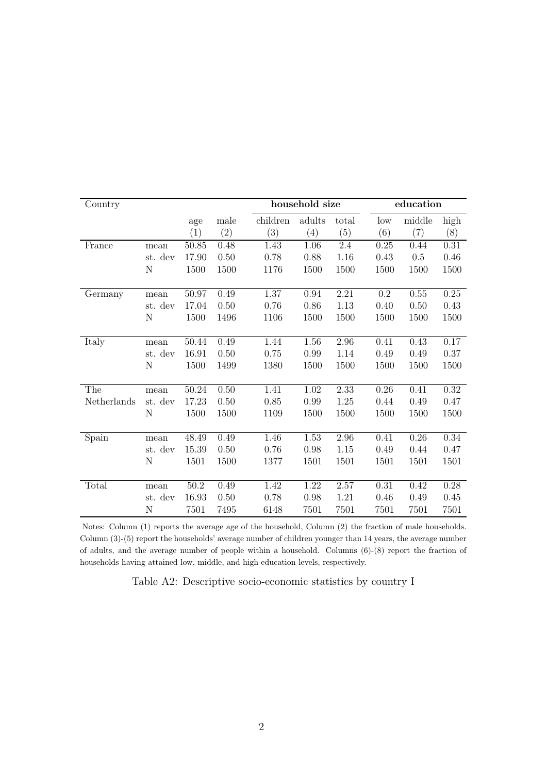| Country     |             |       |      |          | household size |       |                 | education |          |
|-------------|-------------|-------|------|----------|----------------|-------|-----------------|-----------|----------|
|             |             | age   | male | children | adults         | total | $_{\text{low}}$ | middle    | high     |
|             |             | (1)   | (2)  | (3)      | (4)            | (5)   | (6)             | (7)       | (8)      |
| France      | mean        | 50.85 | 0.48 | 1.43     | 1.06           | 2.4   | 0.25            | 0.44      | 0.31     |
|             | st. dev     | 17.90 | 0.50 | 0.78     | 0.88           | 1.16  | 0.43            | 0.5       | 0.46     |
|             | N           | 1500  | 1500 | 1176     | 1500           | 1500  | 1500            | 1500      | 1500     |
|             |             |       |      |          |                |       |                 |           |          |
| Germany     | mean        | 50.97 | 0.49 | 1.37     | $\,0.94$       | 2.21  | $0.2\,$         | 0.55      | $0.25\,$ |
|             | st. dev     | 17.04 | 0.50 | 0.76     | 0.86           | 1.13  | 0.40            | 0.50      | 0.43     |
|             | $\mathbf N$ | 1500  | 1496 | 1106     | 1500           | 1500  | 1500            | 1500      | 1500     |
|             |             |       |      |          |                |       |                 |           |          |
| Italy       | mean        | 50.44 | 0.49 | 1.44     | 1.56           | 2.96  | 0.41            | 0.43      | 0.17     |
|             | st. dev     | 16.91 | 0.50 | 0.75     | 0.99           | 1.14  | 0.49            | 0.49      | 0.37     |
|             | N           | 1500  | 1499 | 1380     | 1500           | 1500  | 1500            | 1500      | 1500     |
|             |             |       |      |          |                |       |                 |           |          |
| The         | mean        | 50.24 | 0.50 | 1.41     | 1.02           | 2.33  | 0.26            | 0.41      | 0.32     |
| Netherlands | st. dev     | 17.23 | 0.50 | 0.85     | 0.99           | 1.25  | 0.44            | 0.49      | 0.47     |
|             | N           | 1500  | 1500 | 1109     | 1500           | 1500  | 1500            | 1500      | 1500     |
|             |             |       |      |          |                |       |                 |           |          |
| Spain       | mean        | 48.49 | 0.49 | 1.46     | 1.53           | 2.96  | 0.41            | 0.26      | 0.34     |
|             | st. dev     | 15.39 | 0.50 | 0.76     | 0.98           | 1.15  | 0.49            | 0.44      | 0.47     |
|             | N           | 1501  | 1500 | 1377     | 1501           | 1501  | 1501            | 1501      | 1501     |
|             |             |       |      |          |                |       |                 |           |          |
| Total       | mean        | 50.2  | 0.49 | 1.42     | 1.22           | 2.57  | 0.31            | 0.42      | 0.28     |
|             | st. dev     | 16.93 | 0.50 | 0.78     | 0.98           | 1.21  | 0.46            | 0.49      | 0.45     |
|             | Ν           | 7501  | 7495 | 6148     | 7501           | 7501  | 7501            | 7501      | 7501     |

Notes: Column (1) reports the average age of the household, Column (2) the fraction of male households. Column (3)-(5) report the households' average number of children younger than 14 years, the average number of adults, and the average number of people within a household. Columns (6)-(8) report the fraction of households having attained low, middle, and high education levels, respectively.

Table A2: Descriptive socio-economic statistics by country I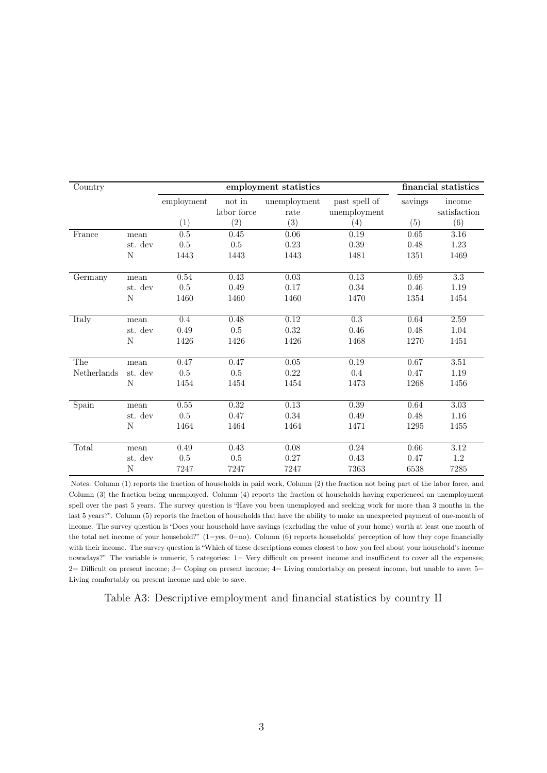| Country     |         |            |                                        | employment statistics |                               |         | financial statistics   |
|-------------|---------|------------|----------------------------------------|-----------------------|-------------------------------|---------|------------------------|
|             |         | employment | $\operatorname{not}$ in<br>labor force | unemployment<br>rate  | past spell of<br>unemployment | savings | income<br>satisfaction |
|             |         | (1)        | (2)                                    | (3)                   | (4)                           | (5)     | (6)                    |
| France      | mean    | 0.5        | 0.45                                   | 0.06                  | 0.19                          | 0.65    | 3.16                   |
|             | st. dev | $0.5\,$    | $0.5\,$                                | $0.23\,$              | 0.39                          | 0.48    | $1.23\,$               |
|             | N       | 1443       | 1443                                   | 1443                  | 1481                          | 1351    | 1469                   |
| Germany     | mean    | 0.54       | 0.43                                   | 0.03                  | 0.13                          | 0.69    | $\overline{3.3}$       |
|             | st. dev | 0.5        | 0.49                                   | 0.17                  | 0.34                          | 0.46    | 1.19                   |
|             | N       | 1460       | 1460                                   | 1460                  | 1470                          | 1354    | 1454                   |
| Italy       | mean    | 0.4        | 0.48                                   | 0.12                  | 0.3                           | 0.64    | 2.59                   |
|             | st. dev | 0.49       | 0.5                                    | 0.32                  | 0.46                          | 0.48    | 1.04                   |
|             | N       | 1426       | 1426                                   | 1426                  | 1468                          | 1270    | 1451                   |
| The         | mean    | 0.47       | 0.47                                   | 0.05                  | 0.19                          | 0.67    | $3.51\,$               |
| Netherlands | st. dev | $0.5\,$    | $0.5\,$                                | 0.22                  | 0.4                           | 0.47    | 1.19                   |
|             | N       | 1454       | 1454                                   | 1454                  | 1473                          | 1268    | 1456                   |
| Spain       | mean    | 0.55       | 0.32                                   | 0.13                  | 0.39                          | 0.64    | 3.03                   |
|             | st. dev | 0.5        | 0.47                                   | $0.34\,$              | 0.49                          | 0.48    | 1.16                   |
|             | N       | 1464       | 1464                                   | 1464                  | 1471                          | 1295    | 1455                   |
| Total       | mean    | 0.49       | 0.43                                   | 0.08                  | 0.24                          | 0.66    | 3.12                   |
|             | st. dev | 0.5        | $0.5\,$                                | 0.27                  | 0.43                          | 0.47    | $1.2\,$                |
|             | N       | 7247       | 7247                                   | 7247                  | 7363                          | 6538    | 7285                   |

Notes: Column (1) reports the fraction of households in paid work, Column (2) the fraction not being part of the labor force, and Column (3) the fraction being unemployed. Column (4) reports the fraction of households having experienced an unemployment spell over the past 5 years. The survey question is "Have you been unemployed and seeking work for more than 3 months in the last 5 years?". Column (5) reports the fraction of households that have the ability to make an unexpected payment of one-month of income. The survey question is "Does your household have savings (excluding the value of your home) worth at least one month of the total net income of your household?" (1=yes, 0=no). Column (6) reports households' perception of how they cope financially with their income. The survey question is "Which of these descriptions comes closest to how you feel about your household's income nowadays?" The variable is numeric, 5 categories: 1= Very difficult on present income and insufficient to cover all the expenses;  $2=$  Difficult on present income;  $3=$  Coping on present income;  $4=$  Living comfortably on present income, but unable to save;  $5=$ Living comfortably on present income and able to save.

Table A3: Descriptive employment and financial statistics by country II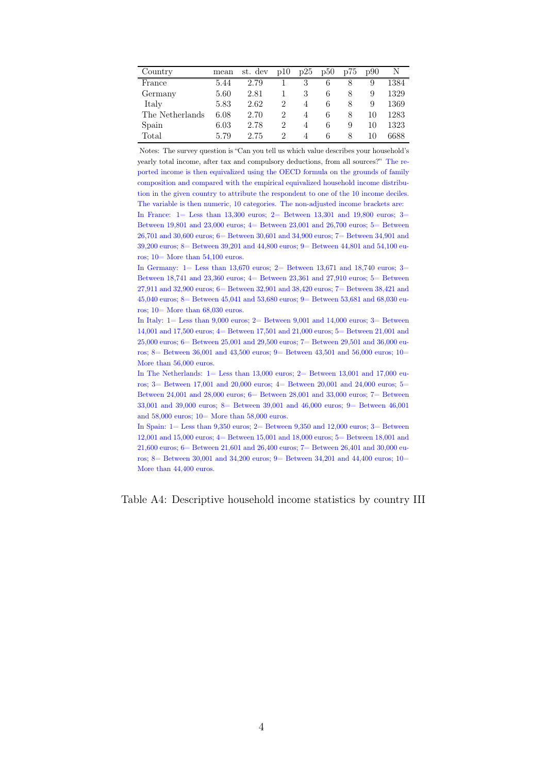| Country         | mean | st. dev | p10 | p25 | p50 | p75 | p90 |      |
|-----------------|------|---------|-----|-----|-----|-----|-----|------|
| France          | 5.44 | 2.79    |     | 3   | 6   |     | 9   | 1384 |
| Germany         | 5.60 | 2.81    |     | 3   | 6   |     | 9   | 1329 |
| Italy           | 5.83 | 2.62    | 2   | 4   | 6   | 8   | 9   | 1369 |
| The Netherlands | 6.08 | 2.70    | 2   | 4   | 6   | 8   | 10  | 1283 |
| Spain           | 6.03 | 2.78    | 2   | 4   | 6   | 9   | 10  | 1323 |
| Total           | 5.79 | 2.75    | 2   | 4   | 6   | 8   | 10  | 6688 |

Notes: The survey question is "Can you tell us which value describes your household's yearly total income, after tax and compulsory deductions, from all sources?" The reported income is then equivalized using the OECD formula on the grounds of family composition and compared with the empirical equivalized household income distribution in the given country to attribute the respondent to one of the 10 income deciles. The variable is then numeric, 10 categories. The non-adjusted income brackets are: In France: 1= Less than 13,300 euros; 2= Between 13,301 and 19,800 euros; 3= Between 19,801 and 23,000 euros;  $4=$  Between 23,001 and 26,700 euros;  $5=$  Between 26,701 and 30,600 euros; 6= Between 30,601 and 34,900 euros; 7= Between 34,901 and 39,200 euros; 8= Between 39,201 and 44,800 euros; 9= Between 44,801 and 54,100 euros; 10= More than 54,100 euros.

In Germany: 1= Less than 13,670 euros; 2= Between 13,671 and 18,740 euros; 3= Between 18,741 and 23,360 euros;  $4=$  Between 23,361 and 27,910 euros;  $5=$  Between 27,911 and 32,900 euros; 6= Between 32,901 and 38,420 euros; 7= Between 38,421 and 45,040 euros; 8= Between 45,041 and 53,680 euros; 9= Between 53,681 and 68,030 euros; 10= More than 68,030 euros.

In Italy: 1= Less than 9,000 euros; 2= Between 9,001 and 14,000 euros; 3= Between 14,001 and 17,500 euros; 4= Between 17,501 and 21,000 euros; 5= Between 21,001 and 25,000 euros; 6= Between 25,001 and 29,500 euros; 7= Between 29,501 and 36,000 euros; 8 = Between 36,001 and 43,500 euros; 9 = Between 43,501 and 56,000 euros; 10 = More than 56,000 euros.

In The Netherlands:  $1 =$  Less than 13,000 euros;  $2 =$  Between 13,001 and 17,000 euros; 3= Between 17,001 and 20,000 euros; 4= Between 20,001 and 24,000 euros; 5= Between 24,001 and 28,000 euros;  $6=$  Between 28,001 and 33,000 euros;  $7=$  Between 33,001 and 39,000 euros; 8= Between 39,001 and 46,000 euros; 9= Between 46,001 and 58,000 euros; 10= More than 58,000 euros.

In Spain: 1= Less than 9,350 euros; 2= Between 9,350 and 12,000 euros; 3= Between 12,001 and 15,000 euros; 4= Between 15,001 and 18,000 euros; 5= Between 18,001 and 21,600 euros; 6= Between 21,601 and 26,400 euros; 7= Between 26,401 and 30,000 euros; 8 = Between 30,001 and 34,200 euros; 9 = Between 34,201 and 44,400 euros; 10 More than 44,400 euros.

Table A4: Descriptive household income statistics by country III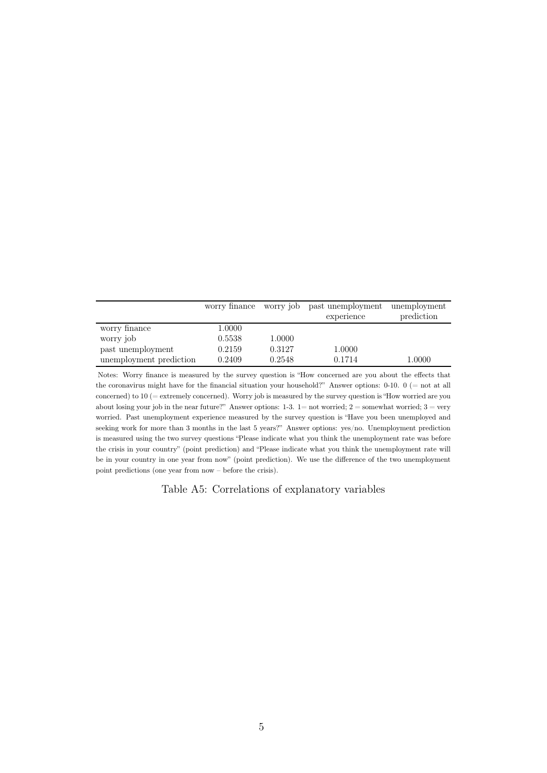|                         |        |        | worry finance worry job past unemployment | unemployment |
|-------------------------|--------|--------|-------------------------------------------|--------------|
|                         |        |        | experience                                | prediction   |
| worry finance           | 1.0000 |        |                                           |              |
| worry job               | 0.5538 | 1.0000 |                                           |              |
| past unemployment       | 0.2159 | 0.3127 | 1.0000                                    |              |
| unemployment prediction | 0.2409 | 0.2548 | 0.1714                                    | 1.0000       |

Notes: Worry finance is measured by the survey question is "How concerned are you about the effects that the coronavirus might have for the financial situation your household?" Answer options: 0-10. 0 (= not at all concerned) to 10 (= extremely concerned). Worry job is measured by the survey question is "How worried are you about losing your job in the near future?" Answer options:  $1-3$ .  $1=$  not worried;  $2=$  somewhat worried;  $3=$  very worried. Past unemployment experience measured by the survey question is "Have you been unemployed and seeking work for more than 3 months in the last 5 years?" Answer options: yes/no. Unemployment prediction is measured using the two survey questions "Please indicate what you think the unemployment rate was before the crisis in your country" (point prediction) and "Please indicate what you think the unemployment rate will be in your country in one year from now" (point prediction). We use the difference of the two unemployment point predictions (one year from now – before the crisis).

Table A5: Correlations of explanatory variables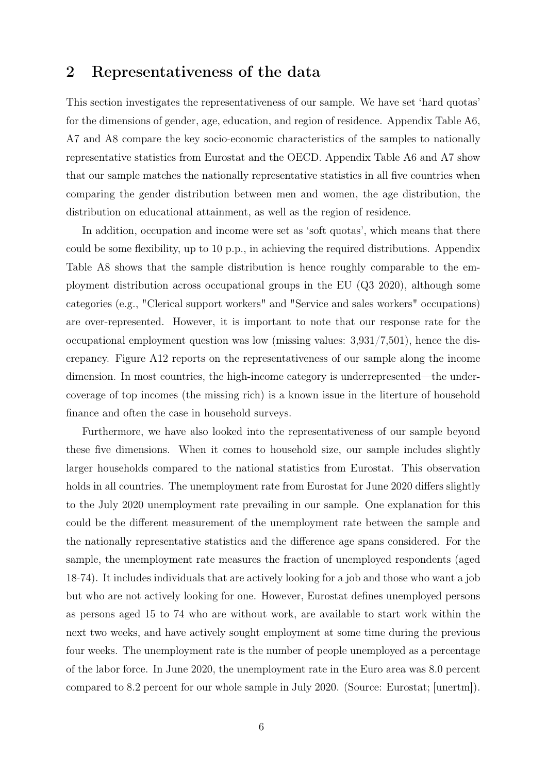## 2 Representativeness of the data

This section investigates the representativeness of our sample. We have set 'hard quotas' for the dimensions of gender, age, education, and region of residence. Appendix Table A6, A7 and A8 compare the key socio-economic characteristics of the samples to nationally representative statistics from Eurostat and the OECD. Appendix Table A6 and A7 show that our sample matches the nationally representative statistics in all five countries when comparing the gender distribution between men and women, the age distribution, the distribution on educational attainment, as well as the region of residence.

In addition, occupation and income were set as 'soft quotas', which means that there could be some flexibility, up to 10 p.p., in achieving the required distributions. Appendix Table A8 shows that the sample distribution is hence roughly comparable to the employment distribution across occupational groups in the EU (Q3 2020), although some categories (e.g., "Clerical support workers" and "Service and sales workers" occupations) are over-represented. However, it is important to note that our response rate for the occupational employment question was low (missing values: 3,931/7,501), hence the discrepancy. Figure A12 reports on the representativeness of our sample along the income dimension. In most countries, the high-income category is underrepresented—the undercoverage of top incomes (the missing rich) is a known issue in the literture of household finance and often the case in household surveys.

Furthermore, we have also looked into the representativeness of our sample beyond these five dimensions. When it comes to household size, our sample includes slightly larger households compared to the national statistics from Eurostat. This observation holds in all countries. The unemployment rate from Eurostat for June 2020 differs slightly to the July 2020 unemployment rate prevailing in our sample. One explanation for this could be the different measurement of the unemployment rate between the sample and the nationally representative statistics and the difference age spans considered. For the sample, the unemployment rate measures the fraction of unemployed respondents (aged 18-74). It includes individuals that are actively looking for a job and those who want a job but who are not actively looking for one. However, Eurostat defines unemployed persons as persons aged 15 to 74 who are without work, are available to start work within the next two weeks, and have actively sought employment at some time during the previous four weeks. The unemployment rate is the number of people unemployed as a percentage of the labor force. In June 2020, the unemployment rate in the Euro area was 8.0 percent compared to 8.2 percent for our whole sample in July 2020. (Source: Eurostat; [unertm]).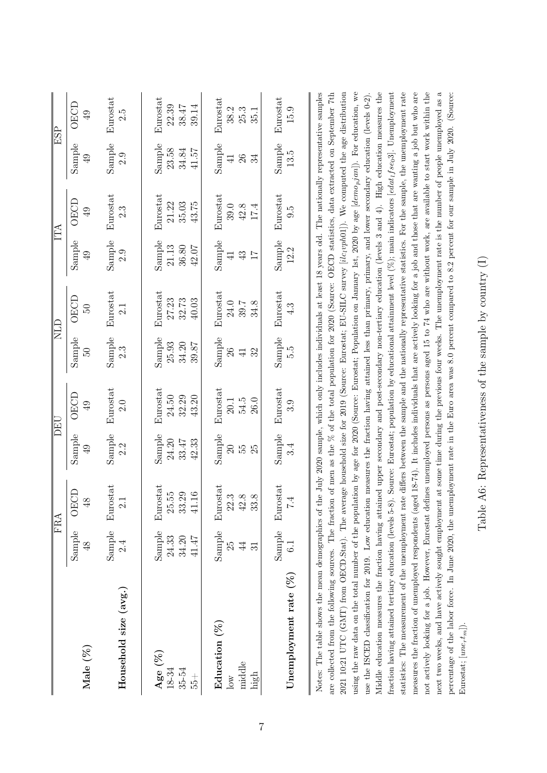|                                                                                                                                                                                                                                                                                                                                                                                                                                                                                                                                                                                                                                                                                                                                                                                                                                                                                                                                                                                                                                                                                                                                                                                                                                                                                                                                       |                | <b>FRA</b>                        |                | DEU             |                            | <b>CTN</b>                                                                                                                                                                                                                                                      |                 | IТА             |                | ESP                 |
|---------------------------------------------------------------------------------------------------------------------------------------------------------------------------------------------------------------------------------------------------------------------------------------------------------------------------------------------------------------------------------------------------------------------------------------------------------------------------------------------------------------------------------------------------------------------------------------------------------------------------------------------------------------------------------------------------------------------------------------------------------------------------------------------------------------------------------------------------------------------------------------------------------------------------------------------------------------------------------------------------------------------------------------------------------------------------------------------------------------------------------------------------------------------------------------------------------------------------------------------------------------------------------------------------------------------------------------|----------------|-----------------------------------|----------------|-----------------|----------------------------|-----------------------------------------------------------------------------------------------------------------------------------------------------------------------------------------------------------------------------------------------------------------|-----------------|-----------------|----------------|---------------------|
| Male (%)                                                                                                                                                                                                                                                                                                                                                                                                                                                                                                                                                                                                                                                                                                                                                                                                                                                                                                                                                                                                                                                                                                                                                                                                                                                                                                                              | Sample         | <b>OECD</b>                       | Sample         | <b>OECD</b>     | Sample                     | OECD                                                                                                                                                                                                                                                            | Sample          | <b>OECD</b>     | Sample         | <b>OECD</b>         |
|                                                                                                                                                                                                                                                                                                                                                                                                                                                                                                                                                                                                                                                                                                                                                                                                                                                                                                                                                                                                                                                                                                                                                                                                                                                                                                                                       | $\frac{8}{4}$  | $\frac{8}{3}$                     | $\overline{6}$ | 49              | $\overline{50}$            | $\overline{50}$                                                                                                                                                                                                                                                 | $\overline{6}$  | $\overline{6}$  | $\overline{6}$ | 49                  |
| Household size (avg.)                                                                                                                                                                                                                                                                                                                                                                                                                                                                                                                                                                                                                                                                                                                                                                                                                                                                                                                                                                                                                                                                                                                                                                                                                                                                                                                 |                | Sample Eurostat<br>$\overline{c}$ | Sample<br>2.2  | Eurostat<br>2.0 | Sample<br>$2.\overline{3}$ | Eurostat<br>2.1                                                                                                                                                                                                                                                 | Sample<br>2.9   | Eurostat<br>2.3 | Sample<br>2.9  | Eurostat<br>ς.<br>Σ |
| Age (%)                                                                                                                                                                                                                                                                                                                                                                                                                                                                                                                                                                                                                                                                                                                                                                                                                                                                                                                                                                                                                                                                                                                                                                                                                                                                                                                               | Sample         | Eurostat                          | Sample         | Eurostat        | Sample                     | Eurostat                                                                                                                                                                                                                                                        | Sample          | Eurostat        | Sample         | Eurostat            |
| $18 - 34$                                                                                                                                                                                                                                                                                                                                                                                                                                                                                                                                                                                                                                                                                                                                                                                                                                                                                                                                                                                                                                                                                                                                                                                                                                                                                                                             | 24.33          | $25.55\,$                         | 24.20          | $24.50\,$       | 25.93                      | 27.23                                                                                                                                                                                                                                                           | 21.13           | 21.22           | 23.58          | 22.39               |
| 35-54<br>$55 +$                                                                                                                                                                                                                                                                                                                                                                                                                                                                                                                                                                                                                                                                                                                                                                                                                                                                                                                                                                                                                                                                                                                                                                                                                                                                                                                       | 41.47<br>34.20 | 33.29<br>$\underline{9}$<br>41.1  | 33.47<br>42.33 | 32.29<br>43.20  | 34.20<br>39.87             | 40.03<br>32.73                                                                                                                                                                                                                                                  | 36.80<br>42.07  | 35.03<br>43.75  | 34.84<br>41.57 | 38.47<br>39.14      |
| Education (%)                                                                                                                                                                                                                                                                                                                                                                                                                                                                                                                                                                                                                                                                                                                                                                                                                                                                                                                                                                                                                                                                                                                                                                                                                                                                                                                         | Sample         | Eurostat                          | Sample         | Eurostat        | Sample                     | Eurostat                                                                                                                                                                                                                                                        | Sample          | Eurostat        | Sample         | Eurostat            |
| $\overline{\text{S}}$                                                                                                                                                                                                                                                                                                                                                                                                                                                                                                                                                                                                                                                                                                                                                                                                                                                                                                                                                                                                                                                                                                                                                                                                                                                                                                                 | 25             | $22.3\,$                          | $\Omega$       | 20.1            | 26                         | 24.0                                                                                                                                                                                                                                                            | $\overline{4}$  | 39.0            | $\overline{4}$ | 38.2                |
| middle                                                                                                                                                                                                                                                                                                                                                                                                                                                                                                                                                                                                                                                                                                                                                                                                                                                                                                                                                                                                                                                                                                                                                                                                                                                                                                                                | $\overline{4}$ | 42.8                              | 55             | 54.5            | $\mathfrak{L}$             | 39.7                                                                                                                                                                                                                                                            | $43\,$          | $42.8$          | $26\,$         | 25.3                |
| high                                                                                                                                                                                                                                                                                                                                                                                                                                                                                                                                                                                                                                                                                                                                                                                                                                                                                                                                                                                                                                                                                                                                                                                                                                                                                                                                  | ವ              | 33.8                              | 25             | 26.0            | $\overline{41}$            | 34.8                                                                                                                                                                                                                                                            | $\overline{17}$ | 17.4            | 34             | 35.1                |
| Unemployment rate $(%$                                                                                                                                                                                                                                                                                                                                                                                                                                                                                                                                                                                                                                                                                                                                                                                                                                                                                                                                                                                                                                                                                                                                                                                                                                                                                                                | Sample         | Eurostat                          | Sample         | Eurostat        | Sample                     | Eurostat                                                                                                                                                                                                                                                        | Sample          | Eurostat        | Sample         | Eurostat            |
|                                                                                                                                                                                                                                                                                                                                                                                                                                                                                                                                                                                                                                                                                                                                                                                                                                                                                                                                                                                                                                                                                                                                                                                                                                                                                                                                       | 6.1            | Г.<br>1                           | $\ddot{3}.4$   | .<br>೧          | ς<br>Σ                     | 4.3                                                                                                                                                                                                                                                             | 12.2            | 5.G             | 13.5           | 15.9                |
| using the raw data on the total number of the population by age for 2020 (Source: Eurostat; Population on January 1st, 2020 by age [demo <sub>p</sub> jan]). For education, we<br>2021 UTC (GMT) from OECD.Stat). The average household size for 2019 (Source: Eurostat; EU-SILC survey [ilc <sub>l</sub> oph01]). We computed the age distribution<br>Middle education measures the fraction having attained upper secondary and post-secondary non-tertiary education (levels 3 and 4). High education measures the<br>statistics: The measurement of the unemployment rate differs between the sample and the nationally representative statistics. For the sample, the unemployment rate<br>measures the fraction of unemployed respondents (aged 18-74). It includes individuals that are actively looking for a job and those that are wanting a job but who are<br>Notes: The table shows the mean demographics of the July 2020 sample, which only includes individuals at least 18 years old. The nationally representative samples<br>are collected from the following sources. The fraction of men as the % of the total population for 2020 (Source: OECD statistics, data extracted on September 7th<br>use the ISCED classification for 2019. Low education<br>fraction having attained tertiary education (levels 5-8) |                |                                   |                |                 |                            | Source: Eurostat; population by educational attainment level $(\%)$ ; main indicators [edat <sub>1</sub> f se <sub>0</sub> 3]. Unemployment<br>measures the fraction having attained less than primary, primary, and lower secondary education (levels $0-2$ ). |                 |                 |                |                     |
| not actively looking for a job. However, Eurostat defines unemployed persons as persons aged 15 to 74 who are without work, are available to start work within the                                                                                                                                                                                                                                                                                                                                                                                                                                                                                                                                                                                                                                                                                                                                                                                                                                                                                                                                                                                                                                                                                                                                                                    |                |                                   |                |                 |                            |                                                                                                                                                                                                                                                                 |                 |                 |                |                     |

Table A6: Representativeness of the sample by country  $(\mathrm{I})$ Table A6: Representativeness of the sample by country (I)

Eurostat;  $[une_rt_m]$ ).

Eurostat;  $[une_r t_m]$ ).

not actively looking for a job. However, Eurostat defines unemployed persons as persons aged 15 to 74 who are without work, are available to start work within the next two weeks, and have actively sought employment at some time during the previous four weeks. The unemployment rate is the number of people unemployed as a percentage of the labor force. In June 2020, the unemployment rate in the Euro area was 8.0 percent compared to 8.2 percent for our sample in July 2020. (Source:

next two weeks, and have actively sought employment at some time during the previous four weeks. The unemployment rate is the number of people unemployed as a

percentage of the labor force. In June 2020, the unemployment rate in the Euro area was 8.0 percent compared to 8.2 percent for our sample in July 2020. (Source: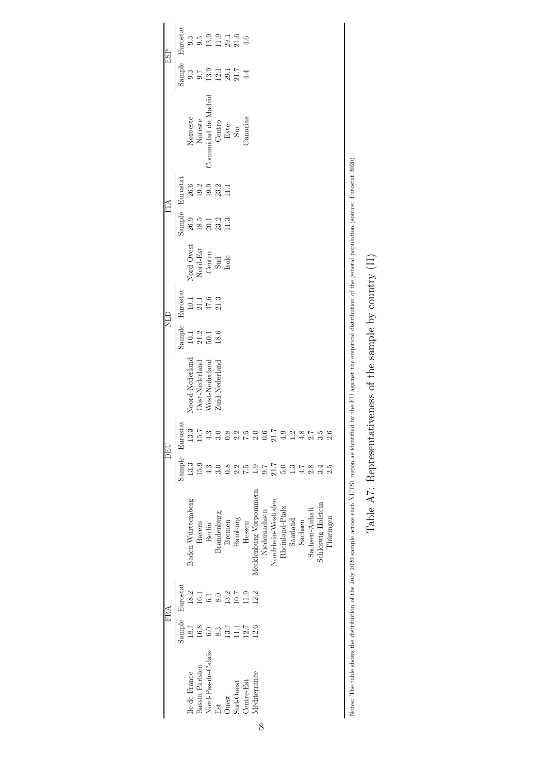|     | Eurostat        | $9.\overline{3}$  |                                                             |                    |                |                  | $9.5$<br>$9.9$<br>$1.3$<br>$1.6$<br>$4.6$    |                 |                        |                  |                     |                 |               |               |                |                    |           |                                                                                                                                                                                                        |
|-----|-----------------|-------------------|-------------------------------------------------------------|--------------------|----------------|------------------|----------------------------------------------|-----------------|------------------------|------------------|---------------------|-----------------|---------------|---------------|----------------|--------------------|-----------|--------------------------------------------------------------------------------------------------------------------------------------------------------------------------------------------------------|
| ESP | Sample          | 9.3               | 9.7                                                         |                    |                |                  | $3.1174$<br>$12.874$                         |                 |                        |                  |                     |                 |               |               |                |                    |           |                                                                                                                                                                                                        |
|     |                 | Noroeste          | Noreste                                                     |                    |                |                  | Comunidad de Madrid<br>Centro<br>Este<br>Sur | Canarias        |                        |                  |                     |                 |               |               |                |                    |           |                                                                                                                                                                                                        |
| ĚÃ  | Eurostat        |                   | 8 0 2 9 2<br>8 9 9 2 1<br>1 1 2 8 1 1                       |                    |                |                  |                                              |                 |                        |                  |                     |                 |               |               |                |                    |           |                                                                                                                                                                                                        |
|     | Sample          | 26.9              | $\begin{array}{c} 18.5 \\ 20.1 \\ 23.2 \\ 11.3 \end{array}$ |                    |                |                  |                                              |                 |                        |                  |                     |                 |               |               |                |                    |           |                                                                                                                                                                                                        |
|     |                 |                   | Nord-Ovest<br>Nord-Est<br>Centro<br>Sud<br>Sud              |                    |                |                  |                                              |                 |                        |                  |                     |                 |               |               |                |                    |           |                                                                                                                                                                                                        |
| ЯH  | Sample Eurostat |                   | $\begin{array}{c} 10.1 \\ 21.1 \\ 47.6 \\ 21.3 \end{array}$ |                    |                |                  |                                              |                 |                        |                  |                     |                 |               |               |                |                    |           |                                                                                                                                                                                                        |
|     |                 | 10.1              | $21.2$                                                      | 50.1               | 18.6           |                  |                                              |                 |                        |                  |                     |                 |               |               |                |                    |           |                                                                                                                                                                                                        |
|     |                 | Noord-Nederland   | Oost-Nederland                                              | West-Nederland     | Zuid-Nederland |                  |                                              |                 |                        |                  |                     |                 |               |               |                |                    |           |                                                                                                                                                                                                        |
|     | Eurostat        | 13.3              | 15.7                                                        | $\frac{3}{4}$      |                | $\frac{8}{2}$    | 2.2                                          | $\frac{15}{20}$ |                        | $\overline{0.6}$ | 21.                 | $\frac{6}{4}$   | $\frac{1}{2}$ | $\frac{8}{4}$ | 2.7            | $\frac{5}{3}$      |           |                                                                                                                                                                                                        |
| DEU | Sample          | 13.3              | 15.9                                                        |                    |                | $0.\overline{8}$ |                                              | 7.5             | $\frac{0}{1}$          | 7.6              | 21.7                |                 | 1.3           | $4.7\,$       | 2.8            | 3.4                | 2.5       |                                                                                                                                                                                                        |
|     |                 | Baden-Württemberg | Bayern                                                      | Berlin             | Brandenburg    | Bremen           | Hamburg                                      | Hessen          | Mecklenburg-Vorpommern | Niedersachsen    | Nordrhein-Westfalen | Rheinland-Pfalz | Saarland      | Sachsen       | Sachsen-Anhalt | Schleswig-Holstein | Thüringen | Notes: The table shows the distribution of the July 2020 sample across each NUTS1 region as identified by the EU against the empirical distribution of the general population (source: Eurostat 2020). |
|     | Eurostat        | 18.2              | 16.1                                                        | 6.1                | $8.0\,$        | 13.2             | 10.7                                         | 11.9            | 12.2                   |                  |                     |                 |               |               |                |                    |           |                                                                                                                                                                                                        |
| FRA | Sample          | 18.7              | 16.8                                                        | $_{6.0}$           | 8.3            | 13.7             | Ξ                                            | 12.7            | 12.6                   |                  |                     |                 |               |               |                |                    |           |                                                                                                                                                                                                        |
|     |                 | lle de France     | <b>Bassin Parisien</b>                                      | Nord-Pas-de-Calais | Est            | Ouest            | Sud-Ouest                                    | Centre-Est      | Méditerranée           |                  |                     |                 |               |               |                |                    |           |                                                                                                                                                                                                        |

Table A7: Representativeness of the sample by country  $(\mathrm{II})$ Table A7: Representativeness of the sample by country (II)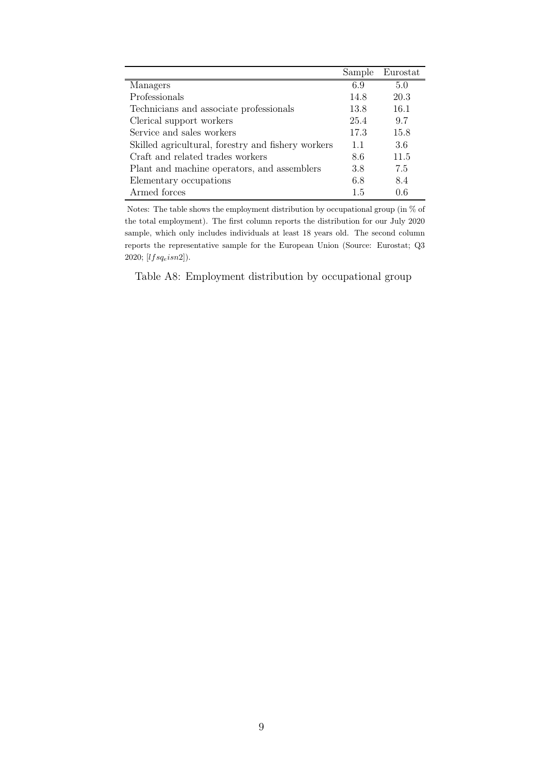|                                                    | Sample | Eurostat |
|----------------------------------------------------|--------|----------|
| Managers                                           | 6.9    | 5.0      |
| Professionals                                      | 14.8   | 20.3     |
| Technicians and associate professionals            | 13.8   | 16.1     |
| Clerical support workers                           | 25.4   | 9.7      |
| Service and sales workers                          | 17.3   | 15.8     |
| Skilled agricultural, forestry and fishery workers | 1.1    | 3.6      |
| Craft and related trades workers                   | 8.6    | 11.5     |
| Plant and machine operators, and assemblers        | 3.8    | 7.5      |
| Elementary occupations                             | 6.8    | 8.4      |
| Armed forces                                       | 1.5    | 0.6      |

Notes: The table shows the employment distribution by occupational group (in  $\%$  of the total employment). The first column reports the distribution for our July 2020 sample, which only includes individuals at least 18 years old. The second column reports the representative sample for the European Union (Source: Eurostat; Q3 2020;  $[lfsq_eisn2]$ ).

Table A8: Employment distribution by occupational group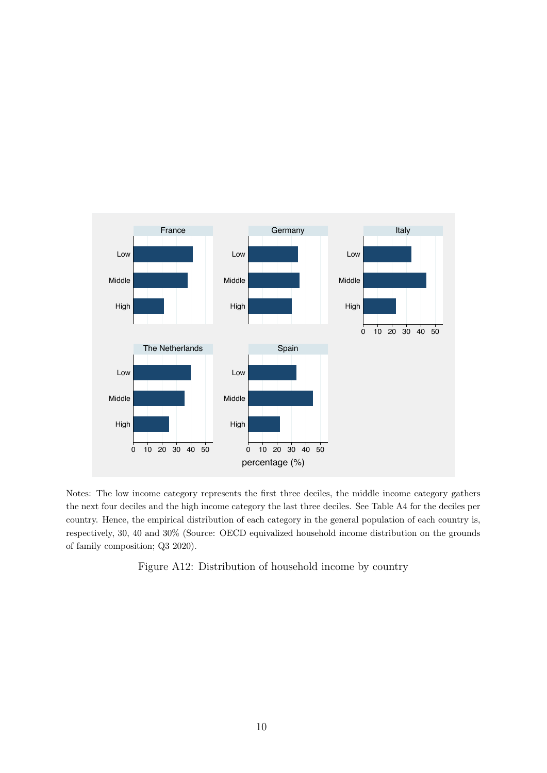

Notes: The low income category represents the first three deciles, the middle income category gathers the next four deciles and the high income category the last three deciles. See Table A4 for the deciles per country. Hence, the empirical distribution of each category in the general population of each country is, respectively, 30, 40 and 30% (Source: OECD equivalized household income distribution on the grounds of family composition; Q3 2020).

Figure A12: Distribution of household income by country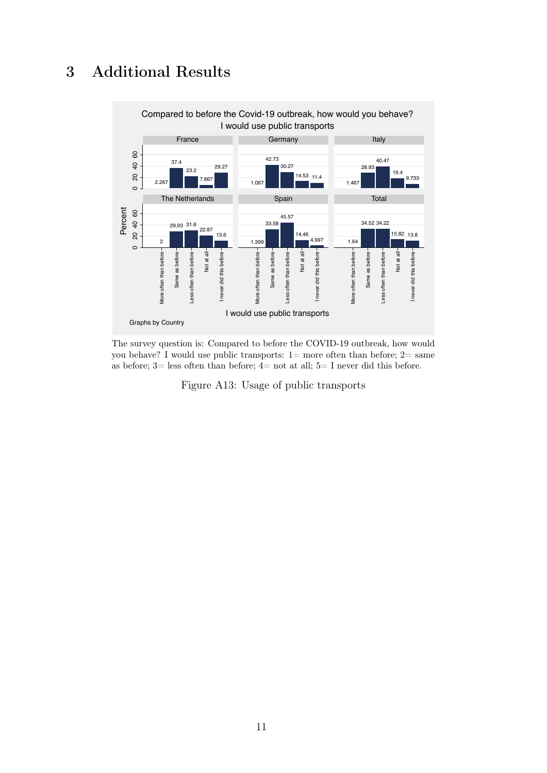## **Additional Results** 3



The survey question is: Compared to before the COVID-19 outbreak, how would you behave? I would use public transports:  $1=$  more often than before;  $2=$  same as before; 3= less often than before; 4= not at all; 5= I never did this before.

Figure A13: Usage of public transports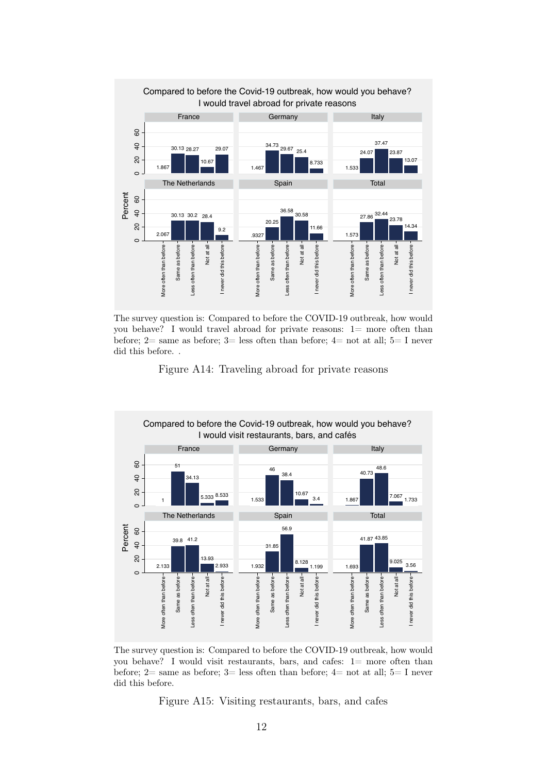

The survey question is: Compared to before the COVID-19 outbreak, how would you behave? I would travel abroad for private reasons:  $1=$  more often than before; 2= same as before; 3= less often than before; 4= not at all; 5= I never did this before. .

Figure A14: Traveling abroad for private reasons



The survey question is: Compared to before the COVID-19 outbreak, how would you behave? I would visit restaurants, bars, and cafes:  $1 =$  more often than before; 2= same as before; 3= less often than before; 4= not at all; 5= I never did this before.

Figure A15: Visiting restaurants, bars, and cafes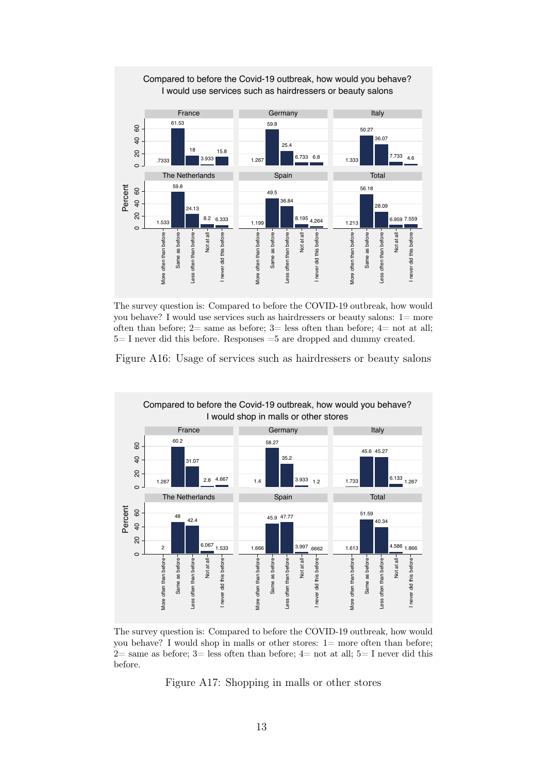

The survey question is: Compared to before the COVID-19 outbreak, how would you behave? I would use services such as hairdressers or beauty salons:  $1 = more$ often than before;  $2=$  same as before;  $3=$  less often than before;  $4=$  not at all;  $5=$  I never did this before. Responses  $=5$  are dropped and dummy created.





The survey question is: Compared to before the COVID-19 outbreak, how would you behave? I would shop in malls or other stores:  $1 =$  more often than before; 2= same as before; 3= less often than before; 4= not at all; 5= I never did this before.

Figure A17: Shopping in malls or other stores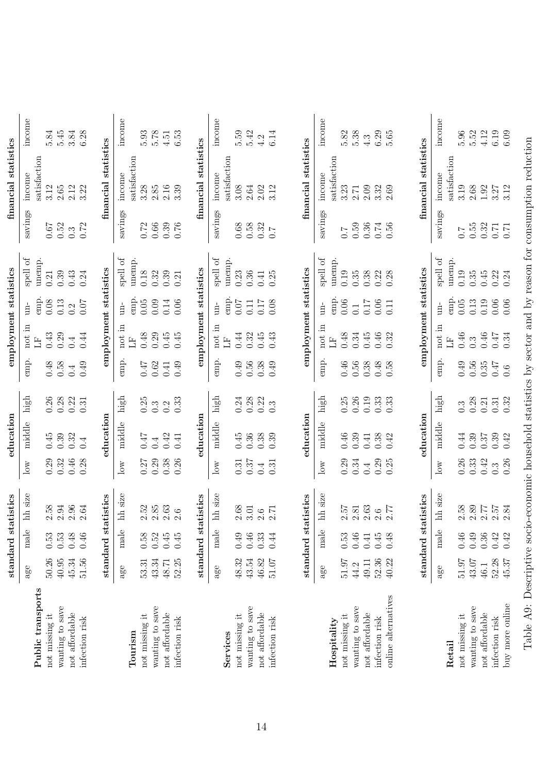|                     |                |          | standard statistics                         |                  | education        |                  |                    | employment statistics |                         |                           |                  | financial statistics |          |
|---------------------|----------------|----------|---------------------------------------------|------------------|------------------|------------------|--------------------|-----------------------|-------------------------|---------------------------|------------------|----------------------|----------|
|                     | $\mathsf{age}$ | male     | hh size                                     | $\log$           | middle           | high             | emp.               | not in                | $\lim$                  | spell of                  | savings          | income               | income   |
| Public transports   |                |          |                                             |                  |                  |                  |                    | H                     | emp.                    | unemp.                    |                  | satisfaction         |          |
| not missing it      | 50.26          | $0.53\,$ | $2.58$                                      | 0.29             | 0.45             | 0.26             | 0.48               | 0.43                  | 0.08                    | 0.21                      | 0.67             | 3.12                 | 5.84     |
| wanting to save     | $40.95$        | 0.53     | 2.94                                        | 0.32             | 0.39             | 0.28             | 0.58               | 0.29                  | 0.13                    | 0.39                      | 0.52             | $2.65\,$             | 5.45     |
| not affordable      | 45.34          | 0.48     | $2.96$<br>$2.64$                            | 0.46             | 0.32             | 0.22             | 0.4                | 0.4                   | 0.2                     | 0.43                      | $0.\overline{3}$ | 2.12                 | 3.84     |
|                     |                |          |                                             |                  |                  |                  |                    |                       |                         |                           |                  |                      |          |
| infection risk      | 51.56          | $0.46$   |                                             | 0.28             | 0.4              | 0.31             | 0.49               | 0.44                  | 0.07                    | 0.24                      | 0.72             | 3.22                 | 6.28     |
|                     |                |          | standard statistics                         |                  | education        |                  |                    | employment statistics |                         |                           |                  | financial statistics |          |
|                     | age            | male     | hh size                                     | $\log$           | middle           | high             | emp.               | not in                | $\overline{\mathbf{u}}$ | spell of                  | savings          | income               | income   |
| Tourism             |                |          |                                             |                  |                  |                  |                    | H                     | emp.                    | unemp                     |                  | satisfaction         |          |
| not missing it      | 53.31          | 0.58     |                                             | 0.27             | 747              | 0.25             | $7\overline{t}$ .0 | 0.48                  | 0.05                    | 0.18                      | $0.72\,$         | 3.28                 | 5.93     |
|                     | 43.34          | $0.52\,$ | $\begin{array}{c} 2.52 \\ 2.85 \end{array}$ | 0.29             |                  | $0.\overline{3}$ |                    |                       | 0.09                    | 0.32                      |                  | 2.85                 | 5.78     |
| wanting to save     |                |          |                                             |                  | 0.4              |                  | $0.62\,$           | 0.29                  |                         |                           | $0.66\,$         |                      |          |
| not affordable      | 48.71          | 0.45     | 2.63                                        | 0.38             | 0.42             | 0.2              | 0.41               | 0.45                  | 0.14                    | 0.39                      | 0.39             | 2.16                 | $4.51\,$ |
| infection risk      | 52.25          | 0.45     | 2.6                                         | 0.26             | 0.41             | 0.33             | 65.0               | 0.45                  | 0.06                    | 0.21                      | 0.76             | 3.39                 | 6.53     |
|                     |                |          | standard statistics                         |                  | education        |                  |                    | employment statistics |                         |                           |                  | financial statistics |          |
|                     | age            | male     | hh size                                     | $_{\rm low}$     | middle           | high             | emp.               | not in                | $\lim$                  | $\operatorname{spell}$ of | savings          | income               | income   |
| Services            |                |          |                                             |                  |                  |                  |                    | H                     | emp.                    | unemp.                    |                  | satisfaction         |          |
| not missing it      | 48.32          | 0.49     | 2.68                                        | 0.31             | 0.45             | 0.24             | $0.49$             | 0.44                  | 0.07                    | 0.23                      | $0.68\,$         | 3.08                 | 5.59     |
| wanting to save     | 43.54          | $0.46$   | 3.01                                        | 0.37             | 0.36             | 0.28             | 0.56               | 0.32                  | 0.11                    | 0.36                      | 0.58             | 2.64                 | 5.42     |
| not affordable      | 46.82          | 0.33     |                                             | 0.4              |                  | 0.22             | 0.38               | 0.45                  | 0.17                    | 0.41                      |                  | 2.02                 | 4.2      |
| infection risk      | $51.07$        | 0.44     | $2.6$<br>2.71                               | 0.31             | $0.38$<br>$0.39$ | $0.\overline{3}$ | $0.49$             | 0.43                  | 0.08                    | 0.25                      | $0.32$<br>$0.7$  | 3.12                 | 6.14     |
|                     |                |          |                                             |                  |                  |                  |                    |                       |                         |                           |                  |                      |          |
|                     |                |          | standard statistics                         |                  | education        |                  |                    | employment statistics |                         |                           |                  | financial statistics |          |
|                     | age            | male     | hh size                                     | $\log$           | middle           | high             | emp.               | not in                | $\frac{1}{2}$           | $\operatorname{spell}$ of | savings          | income               | income   |
| Hospitality         |                |          |                                             |                  |                  |                  |                    | H                     | emp.                    | unemp.                    |                  | satisfaction         |          |
| not missing it      | 51.97          | 0.53     | 2.57                                        | 0.29             | $0.46\,$         | 0.25             | $0.46$             | 0.48                  | 0.06                    | 0.19                      | $\overline{C}$   | 3.23                 | 5.82     |
|                     |                |          |                                             |                  |                  |                  |                    |                       |                         |                           |                  |                      |          |
| wanting to save     | 44.2           | 0.46     | $2.81\,$                                    | 0.34             | 0.39             | 0.26             | 0.56               | 0.34                  | $\overline{0}$ .        | 0.35                      | 0.59             | $2.71\,$             | 5.38     |
| not affordable      | 49.11          | 0.41     | 2.63                                        | 0.4              | 0.41             | 0.19             | 0.38               | 0.45                  | 0.17                    | 0.38                      | $0.36\,$         | 2.09                 | 4.3      |
| infection risk      | 52.36          | 0.45     | $2.6$<br>$2.77$                             | 0.29             | 0.38             | 0.33             | 0.48               | $0.46$                | 0.06                    | $0.22$<br>$0.28$          | 0.56             | 3.32                 | 6.29     |
| online alternatives | 40.22          | 0.48     |                                             | 0.25             | 0.42             | 0.33             | 0.58               | 0.32                  | 0.11                    |                           |                  | 2.69                 | $5.65$   |
|                     |                |          |                                             |                  |                  |                  |                    |                       |                         |                           |                  |                      |          |
|                     |                |          | standard statistics                         |                  | education        |                  |                    | employment statistics |                         |                           |                  | financial statistics |          |
|                     | age            | male     | hh size                                     | $\log$           | middle           | high             | emp.               | not in                | $\rm \dot{H}$           | spell of                  | savings          | income               | income   |
| Retail              |                |          |                                             |                  |                  |                  |                    | $\mathbb{H}$          | emp.                    | unemp.                    |                  | satisfaction         |          |
| not missing it      | 51.97          | 0.46     | $2.58$<br>$2.89$                            | 0.26             | 0.44             | $0.\overline{3}$ | 0.49               | 0.46                  | 0.05                    | 0.19                      | $\angle 0$       | 3.19                 | 5.96     |
| wanting to save     | 43.07          | 0.49     |                                             | 0.33             | 0.39             | 0.28             | 0.56               | $0.\overline{3}$      | 0.13                    | 0.35                      | 0.55             | 2.68                 | 5.52     |
| not affordable      | 46.1           | $0.36\,$ | 2.77                                        | 0.42             | $0.37\,$         | 0.21             | 0.35               | $0.46$ 0.47           | 0.19                    | $0.45\,$                  | 0.32             | $1.92\,$             | 4.12     |
| infection risk      | 52.28          | 0.42     | $2.57$<br>$2.84$                            | $0.\overline{3}$ | 0.39             | 0.31             | <b>LF:0</b>        |                       | $0.06$<br>$0.06$        | 0.22                      | $0.71$<br>0.71   | 3.27                 | 6.19     |
| buy more online     | 45.37          | 0.42     |                                             | 0.26             | 0.42             | 0.32             | 0.6                | 0.34                  |                         | 0.24                      |                  | 3.12                 | 6.09     |

Table A9: Descriptive socio-economic household statistics by sector and by reason for consumption reduction

Table A9: Descriptive socio-economic household statistics by sector and by reason for consumption reduction